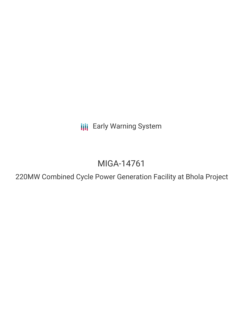**III** Early Warning System

# MIGA-14761

220MW Combined Cycle Power Generation Facility at Bhola Project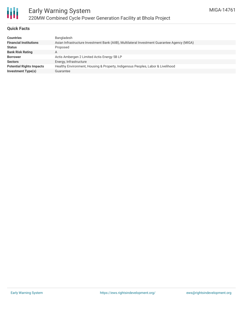

#### **Quick Facts**

| Bangladesh                                                                                   |
|----------------------------------------------------------------------------------------------|
| Asian Infrastructure Investment Bank (AIIB), Multilateral Investment Guarantee Agency (MIGA) |
| Proposed                                                                                     |
| A                                                                                            |
| Actis Ambergen 2 Limited Actis Energy 5B LP                                                  |
| Energy, Infrastructure                                                                       |
| Healthy Environment, Housing & Property, Indigenous Peoples, Labor & Livelihood              |
| Guarantee                                                                                    |
|                                                                                              |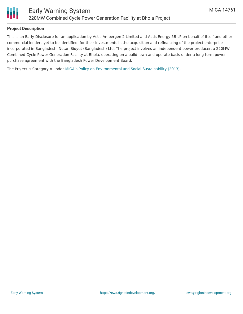

#### **Project Description**

This is an Early Disclosure for an application by Actis Ambergen 2 Limited and Actis Energy 5B LP on behalf of itself and other commercial lenders yet to be identified, for their investments in the acquisition and refinancing of the project enterprise incorporated in Bangladesh, Nutan Bidyut (Bangladesh) Ltd. The project involves an independent power producer, a 220MW Combined Cycle Power Generation Facility at Bhola, operating on a build, own and operate basis under a long-term power purchase agreement with the Bangladesh Power Development Board.

The Project is Category A under MIGA's Policy on [Environmental](https://www.miga.org/sites/default/files/archive/Documents/Policy_Environmental_Social_Sustainability.pdf) and Social Sustainability (2013).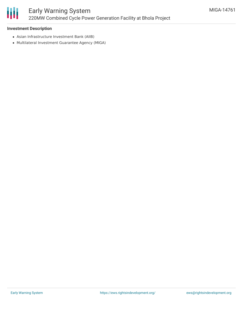# Ш

#### **Investment Description**

- Asian Infrastructure Investment Bank (AIIB)
- Multilateral Investment Guarantee Agency (MIGA)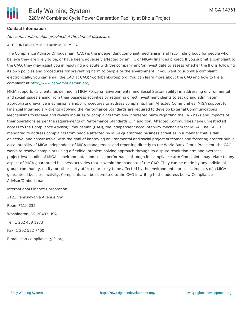## **Contact Information**

No contact information provided at the time of disclosure

#### ACCOUNTABILITY MECHANISM OF MIGA

The Compliance Advisor Ombudsman (CAO) is the independent complaint mechanism and fact-finding body for people who believe they are likely to be, or have been, adversely affected by an IFC or MIGA- financed project. If you submit a complaint to the CAO, they may assist you in resolving a dispute with the company and/or investigate to assess whether the IFC is following its own policies and procedures for preventing harm to people or the environment. If you want to submit a complaint electronically, you can email the CAO at CAO@worldbankgroup.org. You can learn more about the CAO and how to file a complaint at <http://www.cao-ombudsman.org/>

MIGA supports its clients (as defined in MIGA Policy on Environmental and Social Sustainability) in addressing environmental and social issues arising from their business activities by requiring direct investment clients to set up and administer appropriate grievance mechanisms and/or procedures to address complaints from Affected Communities. MIGA support to Financial Intermediary clients applying the Performance Standards are required to develop External Communications Mechanisms to receive and review inquiries or complaints from any interested party regarding the E&S risks and impacts of their operations as per the requirements of Performance Standards 1.In addition, Affected Communities have unrestricted access to the Compliance Advisor/Ombudsman (CAO), the independent accountability mechanism for MIGA. The CAO is mandated to address complaints from people affected by MIGA-guaranteed business activities in a manner that is fair, objective, and constructive, with the goal of improving environmental and social project outcomes and fostering greater public accountability of MIGA.Independent of MIGA management and reporting directly to the World Bank Group President, the CAO works to resolve complaints using a flexible, problem-solving approach through its dispute resolution arm and oversees project-level audits of MIGA's environmental and social performance through its compliance arm.Complaints may relate to any aspect of MIGA-guaranteed business activities that is within the mandate of the CAO. They can be made by any individual, group, community, entity, or other party affected or likely to be affected by the environmental or social impacts of a MIGAguaranteed business activity. Complaints can be submitted to the CAO in writing to the address below:Compliance Advisor/Ombudsman

International Finance Corporation

2121 Pennsylvania Avenue NW Room F11K-232

Washington, DC 20433 USA

Tel: 1 202 458 1973

Fax: 1 202 522 7400

E-mail: cao-compliance@ifc.org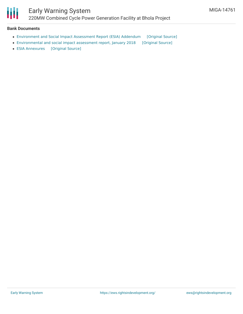

#### **Bank Documents**

- [Environment](https://ewsdata.rightsindevelopment.org/files/documents/61/MIGA-14761_ZWMj5zp.pdf) and Social Impact Assessment Report (ESIA) Addendum [\[Original](https://www.miga.org/sites/default/files/2021-06/0518816-NBBL ESIA Addendum Report-Final.pdf) Source]
- [Environmental](https://ewsdata.rightsindevelopment.org/files/documents/61/MIGA-14761.pdf) and social impact assessment report, January 2018 [\[Original](https://www.miga.org/sites/default/files/2021-06/Updated-Final-ESIA-Report_NBBL.pdf) Source]
- ESIA [Annexures](https://ewsdata.rightsindevelopment.org/files/documents/61/MIGA-14761_7F3zutt.pdf) [\[Original](https://www.miga.org/sites/default/files/2021-06/Final-Annexures-NBBL-ESIA-Report January 2018.pdf) Source]